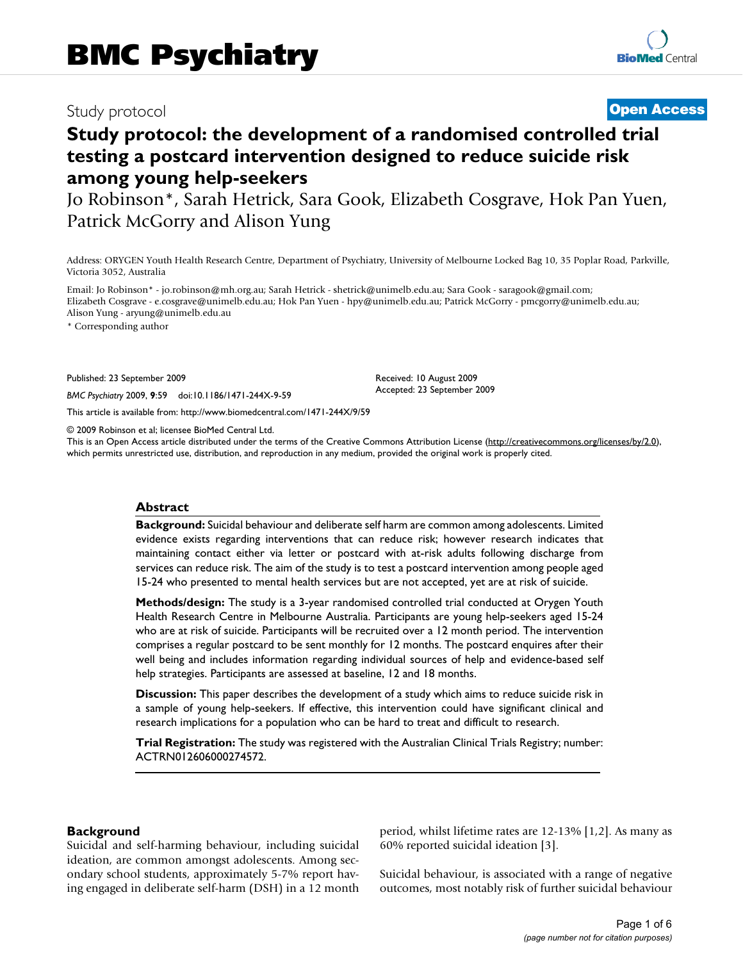### Study protocol **[Open Access](http://www.biomedcentral.com/info/about/charter/)**

## **Study protocol: the development of a randomised controlled trial testing a postcard intervention designed to reduce suicide risk among young help-seekers**

Jo Robinson\*, Sarah Hetrick, Sara Gook, Elizabeth Cosgrave, Hok Pan Yuen, Patrick McGorry and Alison Yung

Address: ORYGEN Youth Health Research Centre, Department of Psychiatry, University of Melbourne Locked Bag 10, 35 Poplar Road, Parkville, Victoria 3052, Australia

Email: Jo Robinson\* - jo.robinson@mh.org.au; Sarah Hetrick - shetrick@unimelb.edu.au; Sara Gook - saragook@gmail.com; Elizabeth Cosgrave - e.cosgrave@unimelb.edu.au; Hok Pan Yuen - hpy@unimelb.edu.au; Patrick McGorry - pmcgorry@unimelb.edu.au; Alison Yung - aryung@unimelb.edu.au

\* Corresponding author

Published: 23 September 2009

*BMC Psychiatry* 2009, **9**:59 doi:10.1186/1471-244X-9-59

[This article is available from: http://www.biomedcentral.com/1471-244X/9/59](http://www.biomedcentral.com/1471-244X/9/59)

© 2009 Robinson et al; licensee BioMed Central Ltd.

This is an Open Access article distributed under the terms of the Creative Commons Attribution License [\(http://creativecommons.org/licenses/by/2.0\)](http://creativecommons.org/licenses/by/2.0), which permits unrestricted use, distribution, and reproduction in any medium, provided the original work is properly cited.

Received: 10 August 2009 Accepted: 23 September 2009

#### **Abstract**

**Background:** Suicidal behaviour and deliberate self harm are common among adolescents. Limited evidence exists regarding interventions that can reduce risk; however research indicates that maintaining contact either via letter or postcard with at-risk adults following discharge from services can reduce risk. The aim of the study is to test a postcard intervention among people aged 15-24 who presented to mental health services but are not accepted, yet are at risk of suicide.

**Methods/design:** The study is a 3-year randomised controlled trial conducted at Orygen Youth Health Research Centre in Melbourne Australia. Participants are young help-seekers aged 15-24 who are at risk of suicide. Participants will be recruited over a 12 month period. The intervention comprises a regular postcard to be sent monthly for 12 months. The postcard enquires after their well being and includes information regarding individual sources of help and evidence-based self help strategies. Participants are assessed at baseline, 12 and 18 months.

**Discussion:** This paper describes the development of a study which aims to reduce suicide risk in a sample of young help-seekers. If effective, this intervention could have significant clinical and research implications for a population who can be hard to treat and difficult to research.

**Trial Registration:** The study was registered with the Australian Clinical Trials Registry; number: ACTRN012606000274572.

#### **Background**

Suicidal and self-harming behaviour, including suicidal ideation, are common amongst adolescents. Among secondary school students, approximately 5-7% report having engaged in deliberate self-harm (DSH) in a 12 month period, whilst lifetime rates are 12-13% [1,2]. As many as 60% reported suicidal ideation [3].

Suicidal behaviour, is associated with a range of negative outcomes, most notably risk of further suicidal behaviour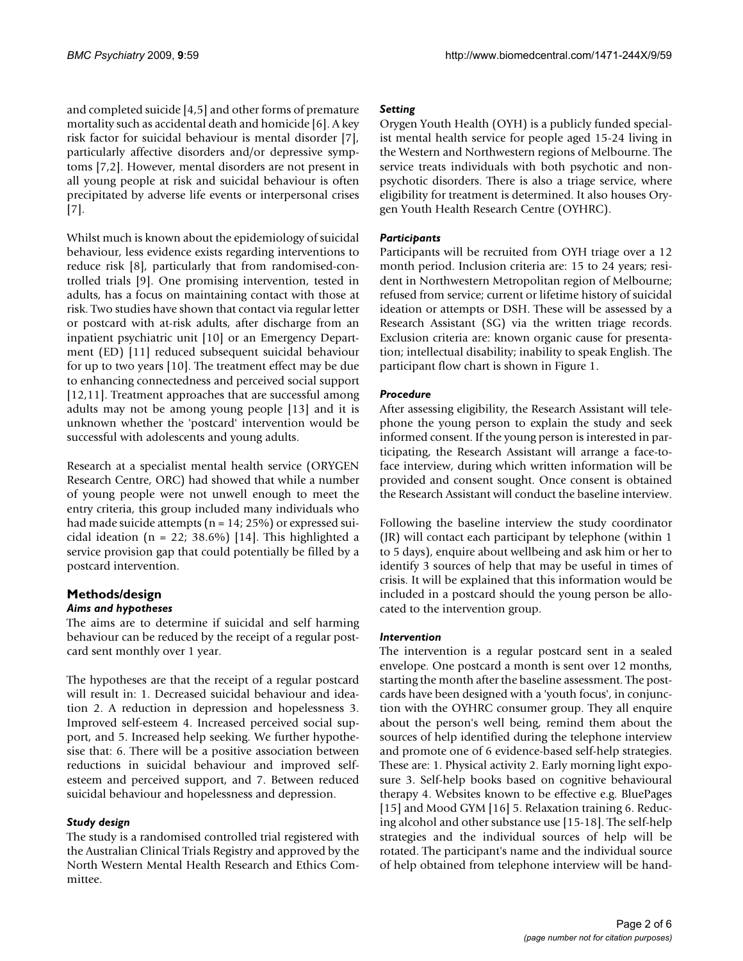and completed suicide [4,5] and other forms of premature mortality such as accidental death and homicide [6]. A key risk factor for suicidal behaviour is mental disorder [7], particularly affective disorders and/or depressive symptoms [7,2]. However, mental disorders are not present in all young people at risk and suicidal behaviour is often precipitated by adverse life events or interpersonal crises [7].

Whilst much is known about the epidemiology of suicidal behaviour, less evidence exists regarding interventions to reduce risk [8], particularly that from randomised-controlled trials [9]. One promising intervention, tested in adults, has a focus on maintaining contact with those at risk. Two studies have shown that contact via regular letter or postcard with at-risk adults, after discharge from an inpatient psychiatric unit [10] or an Emergency Department (ED) [11] reduced subsequent suicidal behaviour for up to two years [10]. The treatment effect may be due to enhancing connectedness and perceived social support [12,11]. Treatment approaches that are successful among adults may not be among young people [13] and it is unknown whether the 'postcard' intervention would be successful with adolescents and young adults.

Research at a specialist mental health service (ORYGEN Research Centre, ORC) had showed that while a number of young people were not unwell enough to meet the entry criteria, this group included many individuals who had made suicide attempts (n = 14; 25%) or expressed suicidal ideation ( $n = 22$ ; 38.6%) [14]. This highlighted a service provision gap that could potentially be filled by a postcard intervention.

# **Methods/design**

### *Aims and hypotheses*

The aims are to determine if suicidal and self harming behaviour can be reduced by the receipt of a regular postcard sent monthly over 1 year.

The hypotheses are that the receipt of a regular postcard will result in: 1. Decreased suicidal behaviour and ideation 2. A reduction in depression and hopelessness 3. Improved self-esteem 4. Increased perceived social support, and 5. Increased help seeking. We further hypothesise that: 6. There will be a positive association between reductions in suicidal behaviour and improved selfesteem and perceived support, and 7. Between reduced suicidal behaviour and hopelessness and depression.

### *Study design*

The study is a randomised controlled trial registered with the Australian Clinical Trials Registry and approved by the North Western Mental Health Research and Ethics Committee.

#### *Setting*

Orygen Youth Health (OYH) is a publicly funded specialist mental health service for people aged 15-24 living in the Western and Northwestern regions of Melbourne. The service treats individuals with both psychotic and nonpsychotic disorders. There is also a triage service, where eligibility for treatment is determined. It also houses Orygen Youth Health Research Centre (OYHRC).

#### *Participants*

Participants will be recruited from OYH triage over a 12 month period. Inclusion criteria are: 15 to 24 years; resident in Northwestern Metropolitan region of Melbourne; refused from service; current or lifetime history of suicidal ideation or attempts or DSH. These will be assessed by a Research Assistant (SG) via the written triage records. Exclusion criteria are: known organic cause for presentation; intellectual disability; inability to speak English. The participant flow chart is shown in Figure 1.

#### *Procedure*

After assessing eligibility, the Research Assistant will telephone the young person to explain the study and seek informed consent. If the young person is interested in participating, the Research Assistant will arrange a face-toface interview, during which written information will be provided and consent sought. Once consent is obtained the Research Assistant will conduct the baseline interview.

Following the baseline interview the study coordinator (JR) will contact each participant by telephone (within 1 to 5 days), enquire about wellbeing and ask him or her to identify 3 sources of help that may be useful in times of crisis. It will be explained that this information would be included in a postcard should the young person be allocated to the intervention group.

#### *Intervention*

The intervention is a regular postcard sent in a sealed envelope. One postcard a month is sent over 12 months, starting the month after the baseline assessment. The postcards have been designed with a 'youth focus', in conjunction with the OYHRC consumer group. They all enquire about the person's well being, remind them about the sources of help identified during the telephone interview and promote one of 6 evidence-based self-help strategies. These are: 1. Physical activity 2. Early morning light exposure 3. Self-help books based on cognitive behavioural therapy 4. Websites known to be effective e.g. BluePages [15] and Mood GYM [16] 5. Relaxation training 6. Reducing alcohol and other substance use [15-18]. The self-help strategies and the individual sources of help will be rotated. The participant's name and the individual source of help obtained from telephone interview will be hand-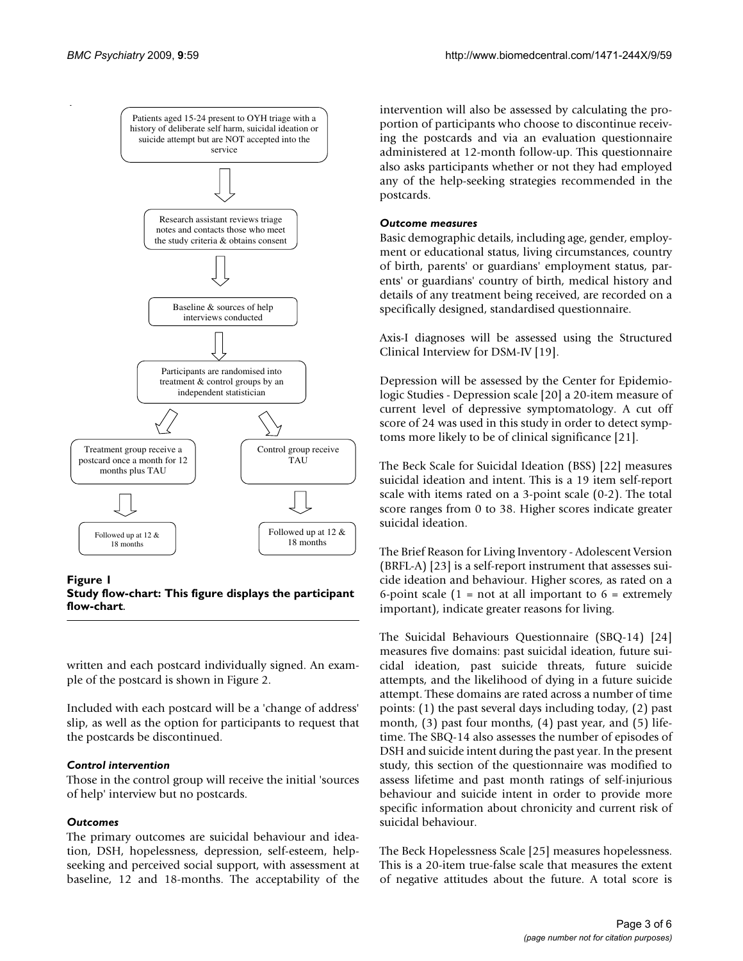

Figure 1 **Study flow-chart: This figure displays the participant flow-chart**.

written and each postcard individually signed. An example of the postcard is shown in Figure 2.

Included with each postcard will be a 'change of address' slip, as well as the option for participants to request that the postcards be discontinued.

#### *Control intervention*

Those in the control group will receive the initial 'sources of help' interview but no postcards.

#### *Outcomes*

The primary outcomes are suicidal behaviour and ideation, DSH, hopelessness, depression, self-esteem, helpseeking and perceived social support, with assessment at baseline, 12 and 18-months. The acceptability of the intervention will also be assessed by calculating the proportion of participants who choose to discontinue receiving the postcards and via an evaluation questionnaire administered at 12-month follow-up. This questionnaire also asks participants whether or not they had employed any of the help-seeking strategies recommended in the postcards.

#### *Outcome measures*

Basic demographic details, including age, gender, employment or educational status, living circumstances, country of birth, parents' or guardians' employment status, parents' or guardians' country of birth, medical history and details of any treatment being received, are recorded on a specifically designed, standardised questionnaire.

Axis-I diagnoses will be assessed using the Structured Clinical Interview for DSM-IV [19].

Depression will be assessed by the Center for Epidemiologic Studies - Depression scale [20] a 20-item measure of current level of depressive symptomatology. A cut off score of 24 was used in this study in order to detect symptoms more likely to be of clinical significance [21].

The Beck Scale for Suicidal Ideation (BSS) [22] measures suicidal ideation and intent. This is a 19 item self-report scale with items rated on a 3-point scale (0-2). The total score ranges from 0 to 38. Higher scores indicate greater suicidal ideation.

The Brief Reason for Living Inventory - Adolescent Version (BRFL-A) [23] is a self-report instrument that assesses suicide ideation and behaviour. Higher scores, as rated on a 6-point scale  $(1 = not at all important to 6 = extremely$ important), indicate greater reasons for living.

The Suicidal Behaviours Questionnaire (SBQ-14) [24] measures five domains: past suicidal ideation, future suicidal ideation, past suicide threats, future suicide attempts, and the likelihood of dying in a future suicide attempt. These domains are rated across a number of time points: (1) the past several days including today, (2) past month, (3) past four months, (4) past year, and (5) lifetime. The SBQ-14 also assesses the number of episodes of DSH and suicide intent during the past year. In the present study, this section of the questionnaire was modified to assess lifetime and past month ratings of self-injurious behaviour and suicide intent in order to provide more specific information about chronicity and current risk of suicidal behaviour.

The Beck Hopelessness Scale [25] measures hopelessness. This is a 20-item true-false scale that measures the extent of negative attitudes about the future. A total score is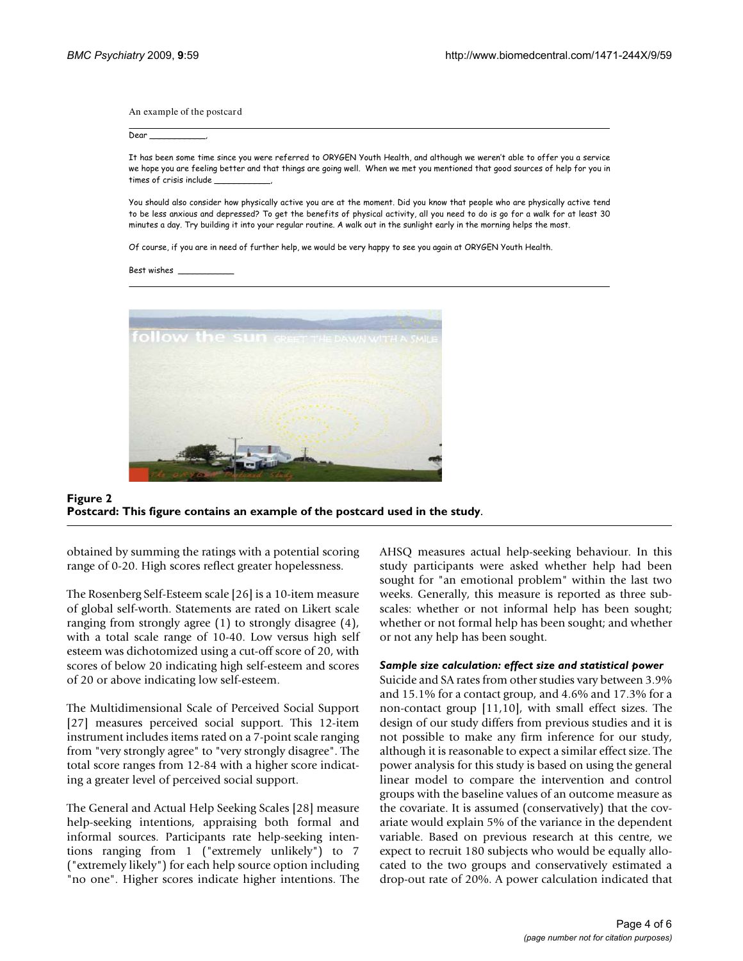An example of the postcard

**Dear** and the state of the state of the state of the state of the state of the state of the state of the state of the state of the state of the state of the state of the state of the state of the state of the state of the

It has been some time since vou were referred to ORYGEN Youth Health, and although we weren't able to offer vou a service we hope you are feeling better and that things are going well. When we met you mentioned that good sources of help for you in times of crisis include

You should also consider how physically active you are at the moment. Did you know that people who are physically active tend to be less anxious and depressed? To get the benefits of physical activity, all you need to do is go for a walk for at least 30 minutes a day. Try building it into your regular routine. A walk out in the sunlight early in the morning helps the most.

Of course, if you are in need of further help, we would be very happy to see you again at ORYGEN Youth Health.

Best wishes **Brandfilm** 





obtained by summing the ratings with a potential scoring range of 0-20. High scores reflect greater hopelessness.

The Rosenberg Self-Esteem scale [26] is a 10-item measure of global self-worth. Statements are rated on Likert scale ranging from strongly agree (1) to strongly disagree (4), with a total scale range of 10-40. Low versus high self esteem was dichotomized using a cut-off score of 20, with scores of below 20 indicating high self-esteem and scores of 20 or above indicating low self-esteem.

The Multidimensional Scale of Perceived Social Support [27] measures perceived social support. This 12-item instrument includes items rated on a 7-point scale ranging from "very strongly agree" to "very strongly disagree". The total score ranges from 12-84 with a higher score indicating a greater level of perceived social support.

The General and Actual Help Seeking Scales [28] measure help-seeking intentions, appraising both formal and informal sources. Participants rate help-seeking intentions ranging from 1 ("extremely unlikely") to 7 ("extremely likely") for each help source option including "no one". Higher scores indicate higher intentions. The AHSQ measures actual help-seeking behaviour. In this study participants were asked whether help had been sought for "an emotional problem" within the last two weeks. Generally, this measure is reported as three subscales: whether or not informal help has been sought; whether or not formal help has been sought; and whether or not any help has been sought.

#### *Sample size calculation: effect size and statistical power*

Suicide and SA rates from other studies vary between 3.9% and 15.1% for a contact group, and 4.6% and 17.3% for a non-contact group [11,10], with small effect sizes. The design of our study differs from previous studies and it is not possible to make any firm inference for our study, although it is reasonable to expect a similar effect size. The power analysis for this study is based on using the general linear model to compare the intervention and control groups with the baseline values of an outcome measure as the covariate. It is assumed (conservatively) that the covariate would explain 5% of the variance in the dependent variable. Based on previous research at this centre, we expect to recruit 180 subjects who would be equally allocated to the two groups and conservatively estimated a drop-out rate of 20%. A power calculation indicated that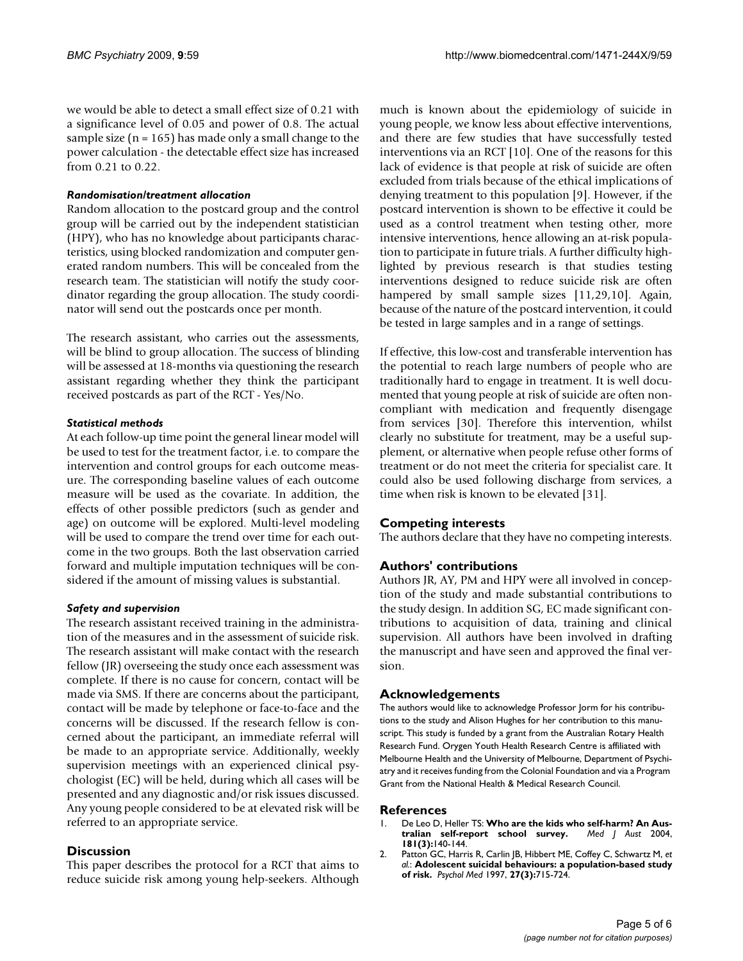we would be able to detect a small effect size of 0.21 with a significance level of 0.05 and power of 0.8. The actual sample size ( $n = 165$ ) has made only a small change to the power calculation - the detectable effect size has increased from 0.21 to 0.22.

#### *Randomisation/treatment allocation*

Random allocation to the postcard group and the control group will be carried out by the independent statistician (HPY), who has no knowledge about participants characteristics, using blocked randomization and computer generated random numbers. This will be concealed from the research team. The statistician will notify the study coordinator regarding the group allocation. The study coordinator will send out the postcards once per month.

The research assistant, who carries out the assessments, will be blind to group allocation. The success of blinding will be assessed at 18-months via questioning the research assistant regarding whether they think the participant received postcards as part of the RCT - Yes/No.

#### *Statistical methods*

At each follow-up time point the general linear model will be used to test for the treatment factor, i.e. to compare the intervention and control groups for each outcome measure. The corresponding baseline values of each outcome measure will be used as the covariate. In addition, the effects of other possible predictors (such as gender and age) on outcome will be explored. Multi-level modeling will be used to compare the trend over time for each outcome in the two groups. Both the last observation carried forward and multiple imputation techniques will be considered if the amount of missing values is substantial.

#### *Safety and supervision*

The research assistant received training in the administration of the measures and in the assessment of suicide risk. The research assistant will make contact with the research fellow (JR) overseeing the study once each assessment was complete. If there is no cause for concern, contact will be made via SMS. If there are concerns about the participant, contact will be made by telephone or face-to-face and the concerns will be discussed. If the research fellow is concerned about the participant, an immediate referral will be made to an appropriate service. Additionally, weekly supervision meetings with an experienced clinical psychologist (EC) will be held, during which all cases will be presented and any diagnostic and/or risk issues discussed. Any young people considered to be at elevated risk will be referred to an appropriate service.

#### **Discussion**

This paper describes the protocol for a RCT that aims to reduce suicide risk among young help-seekers. Although

much is known about the epidemiology of suicide in young people, we know less about effective interventions, and there are few studies that have successfully tested interventions via an RCT [10]. One of the reasons for this lack of evidence is that people at risk of suicide are often excluded from trials because of the ethical implications of denying treatment to this population [9]. However, if the postcard intervention is shown to be effective it could be used as a control treatment when testing other, more intensive interventions, hence allowing an at-risk population to participate in future trials. A further difficulty highlighted by previous research is that studies testing interventions designed to reduce suicide risk are often hampered by small sample sizes [11,29,10]. Again, because of the nature of the postcard intervention, it could be tested in large samples and in a range of settings.

If effective, this low-cost and transferable intervention has the potential to reach large numbers of people who are traditionally hard to engage in treatment. It is well documented that young people at risk of suicide are often noncompliant with medication and frequently disengage from services [30]. Therefore this intervention, whilst clearly no substitute for treatment, may be a useful supplement, or alternative when people refuse other forms of treatment or do not meet the criteria for specialist care. It could also be used following discharge from services, a time when risk is known to be elevated [31].

#### **Competing interests**

The authors declare that they have no competing interests.

#### **Authors' contributions**

Authors JR, AY, PM and HPY were all involved in conception of the study and made substantial contributions to the study design. In addition SG, EC made significant contributions to acquisition of data, training and clinical supervision. All authors have been involved in drafting the manuscript and have seen and approved the final version.

#### **Acknowledgements**

The authors would like to acknowledge Professor Jorm for his contributions to the study and Alison Hughes for her contribution to this manuscript. This study is funded by a grant from the Australian Rotary Health Research Fund. Orygen Youth Health Research Centre is affiliated with Melbourne Health and the University of Melbourne, Department of Psychiatry and it receives funding from the Colonial Foundation and via a Program Grant from the National Health & Medical Research Council.

#### **References**

- 1. De Leo D, Heller TS: **[Who are the kids who self-harm? An Aus](http://www.ncbi.nlm.nih.gov/entrez/query.fcgi?cmd=Retrieve&db=PubMed&dopt=Abstract&list_uids=15287831)**[tralian self-report school survey.](http://www.ncbi.nlm.nih.gov/entrez/query.fcgi?cmd=Retrieve&db=PubMed&dopt=Abstract&list_uids=15287831) **181(3):**140-144.
- 2. Patton GC, Harris R, Carlin JB, Hibbert ME, Coffey C, Schwartz M, *et al.*: **[Adolescent suicidal behaviours: a population-based study](http://www.ncbi.nlm.nih.gov/entrez/query.fcgi?cmd=Retrieve&db=PubMed&dopt=Abstract&list_uids=9153691) [of risk.](http://www.ncbi.nlm.nih.gov/entrez/query.fcgi?cmd=Retrieve&db=PubMed&dopt=Abstract&list_uids=9153691)** *Psychol Med* 1997, **27(3):**715-724.